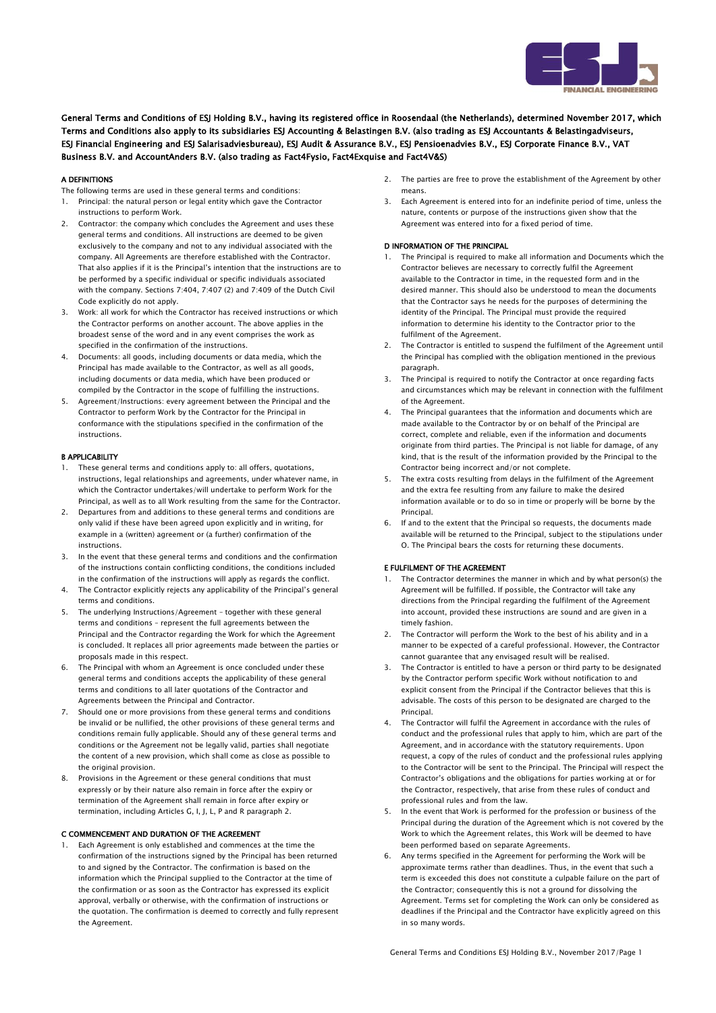

General Terms and Conditions of ESJ Holding B.V., having its registered office in Roosendaal (the Netherlands), determined November 2017, which Terms and Conditions also apply to its subsidiaries ESJ Accounting & Belastingen B.V. (also trading as ESJ Accountants & Belastingadviseurs, ESJ Financial Engineering and ESJ Salarisadviesbureau), ESJ Audit & Assurance B.V., ESJ Pensioenadvies B.V., ESJ Corporate Finance B.V., VAT Business B.V. and AccountAnders B.V. (also trading as Fact4Fysio, Fact4Exquise and Fact4V&S)

# A DEFINITIONS

- The following terms are used in these general terms and conditions:
- 1. Principal: the natural person or legal entity which gave the Contractor instructions to perform Work.
- 2. Contractor: the company which concludes the Agreement and uses these general terms and conditions. All instructions are deemed to be given exclusively to the company and not to any individual associated with the company. All Agreements are therefore established with the Contractor. That also applies if it is the Principal's intention that the instructions are to be performed by a specific individual or specific individuals associated with the company. Sections 7:404, 7:407 (2) and 7:409 of the Dutch Civil Code explicitly do not apply.
- 3. Work: all work for which the Contractor has received instructions or which the Contractor performs on another account. The above applies in the broadest sense of the word and in any event comprises the work as specified in the confirmation of the instructions.
- 4. Documents: all goods, including documents or data media, which the Principal has made available to the Contractor, as well as all goods, including documents or data media, which have been produced or compiled by the Contractor in the scope of fulfilling the instructions.
- 5. Agreement/Instructions: every agreement between the Principal and the Contractor to perform Work by the Contractor for the Principal in conformance with the stipulations specified in the confirmation of the instructions.

# B APPLICABILITY

- 1. These general terms and conditions apply to: all offers, quotations, instructions, legal relationships and agreements, under whatever name, in which the Contractor undertakes/will undertake to perform Work for the Principal, as well as to all Work resulting from the same for the Contractor.
- 2. Departures from and additions to these general terms and conditions are only valid if these have been agreed upon explicitly and in writing, for example in a (written) agreement or (a further) confirmation of the instructions.
- 3. In the event that these general terms and conditions and the confirmation of the instructions contain conflicting conditions, the conditions included in the confirmation of the instructions will apply as regards the conflict.
- 4. The Contractor explicitly rejects any applicability of the Principal's general terms and conditions.
- 5. The underlying Instructions/Agreement together with these general terms and conditions – represent the full agreements between the Principal and the Contractor regarding the Work for which the Agreement is concluded. It replaces all prior agreements made between the parties or proposals made in this respect.
- 6. The Principal with whom an Agreement is once concluded under these general terms and conditions accepts the applicability of these general terms and conditions to all later quotations of the Contractor and Agreements between the Principal and Contractor.
- 7. Should one or more provisions from these general terms and conditions be invalid or be nullified, the other provisions of these general terms and conditions remain fully applicable. Should any of these general terms and conditions or the Agreement not be legally valid, parties shall negotiate the content of a new provision, which shall come as close as possible to the original provision.
- 8. Provisions in the Agreement or these general conditions that must expressly or by their nature also remain in force after the expiry or termination of the Agreement shall remain in force after expiry or termination, including Articles G, I, J, L, P and R paragraph 2.

# C COMMENCEMENT AND DURATION OF THE AGREEMENT

1. Each Agreement is only established and commences at the time the confirmation of the instructions signed by the Principal has been returned to and signed by the Contractor. The confirmation is based on the information which the Principal supplied to the Contractor at the time of the confirmation or as soon as the Contractor has expressed its explicit approval, verbally or otherwise, with the confirmation of instructions or the quotation. The confirmation is deemed to correctly and fully represent the Agreement.

- 2. The parties are free to prove the establishment of the Agreement by other means.
- 3. Each Agreement is entered into for an indefinite period of time, unless the nature, contents or purpose of the instructions given show that the Agreement was entered into for a fixed period of time.

# D INFORMATION OF THE PRINCIPAL

- The Principal is required to make all information and Documents which the Contractor believes are necessary to correctly fulfil the Agreement available to the Contractor in time, in the requested form and in the desired manner. This should also be understood to mean the documents that the Contractor says he needs for the purposes of determining the identity of the Principal. The Principal must provide the required information to determine his identity to the Contractor prior to the fulfilment of the Agreement.
- 2. The Contractor is entitled to suspend the fulfilment of the Agreement until the Principal has complied with the obligation mentioned in the previous paragraph.
- 3. The Principal is required to notify the Contractor at once regarding facts and circumstances which may be relevant in connection with the fulfilment of the Agreement.
- 4. The Principal guarantees that the information and documents which are made available to the Contractor by or on behalf of the Principal are correct, complete and reliable, even if the information and documents originate from third parties. The Principal is not liable for damage, of any kind, that is the result of the information provided by the Principal to the Contractor being incorrect and/or not complete.
- 5. The extra costs resulting from delays in the fulfilment of the Agreement and the extra fee resulting from any failure to make the desired information available or to do so in time or properly will be borne by the Principal.
- 6. If and to the extent that the Principal so requests, the documents made available will be returned to the Principal, subject to the stipulations under O. The Principal bears the costs for returning these documents.

# E FULFILMENT OF THE AGREEMENT

- The Contractor determines the manner in which and by what person(s) the Agreement will be fulfilled. If possible, the Contractor will take any directions from the Principal regarding the fulfilment of the Agreement into account, provided these instructions are sound and are given in a timely fashion.
- 2. The Contractor will perform the Work to the best of his ability and in a manner to be expected of a careful professional. However, the Contractor cannot guarantee that any envisaged result will be realised.
- 3. The Contractor is entitled to have a person or third party to be designated by the Contractor perform specific Work without notification to and explicit consent from the Principal if the Contractor believes that this is advisable. The costs of this person to be designated are charged to the Principal.
- 4. The Contractor will fulfil the Agreement in accordance with the rules of conduct and the professional rules that apply to him, which are part of the Agreement, and in accordance with the statutory requirements. Upon request, a copy of the rules of conduct and the professional rules applying to the Contractor will be sent to the Principal. The Principal will respect the Contractor's obligations and the obligations for parties working at or for the Contractor, respectively, that arise from these rules of conduct and professional rules and from the law.
- 5. In the event that Work is performed for the profession or business of the Principal during the duration of the Agreement which is not covered by the Work to which the Agreement relates, this Work will be deemed to have been performed based on separate Agreements.
- 6. Any terms specified in the Agreement for performing the Work will be approximate terms rather than deadlines. Thus, in the event that such a term is exceeded this does not constitute a culpable failure on the part of the Contractor; consequently this is not a ground for dissolving the Agreement. Terms set for completing the Work can only be considered as deadlines if the Principal and the Contractor have explicitly agreed on this in so many words.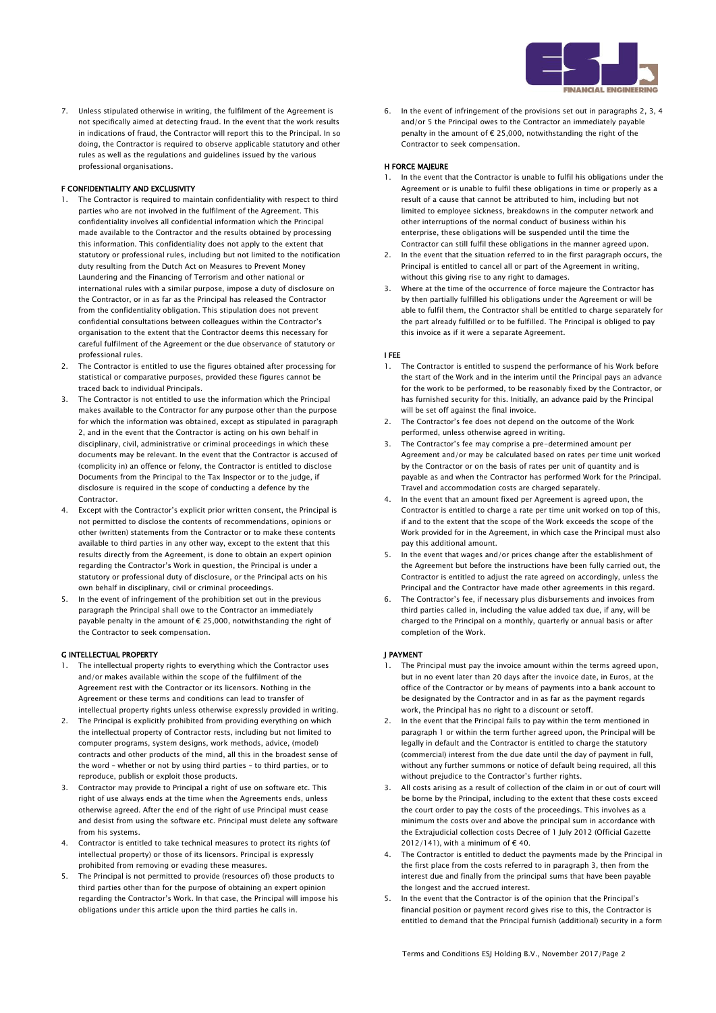

7. Unless stipulated otherwise in writing, the fulfilment of the Agreement is not specifically aimed at detecting fraud. In the event that the work results in indications of fraud, the Contractor will report this to the Principal. In so doing, the Contractor is required to observe applicable statutory and other rules as well as the regulations and guidelines issued by the various professional organisations.

### F CONFIDENTIALITY AND EXCLUSIVITY

- 1. The Contractor is required to maintain confidentiality with respect to third parties who are not involved in the fulfilment of the Agreement. This confidentiality involves all confidential information which the Principal made available to the Contractor and the results obtained by processing this information. This confidentiality does not apply to the extent that statutory or professional rules, including but not limited to the notification duty resulting from the Dutch Act on Measures to Prevent Money Laundering and the Financing of Terrorism and other national or international rules with a similar purpose, impose a duty of disclosure on the Contractor, or in as far as the Principal has released the Contractor from the confidentiality obligation. This stipulation does not prevent confidential consultations between colleagues within the Contractor's organisation to the extent that the Contractor deems this necessary for careful fulfilment of the Agreement or the due observance of statutory or professional rules.
- 2. The Contractor is entitled to use the figures obtained after processing for statistical or comparative purposes, provided these figures cannot be traced back to individual Principals.
- 3. The Contractor is not entitled to use the information which the Principal makes available to the Contractor for any purpose other than the purpose for which the information was obtained, except as stipulated in paragraph 2, and in the event that the Contractor is acting on his own behalf in disciplinary, civil, administrative or criminal proceedings in which these documents may be relevant. In the event that the Contractor is accused of (complicity in) an offence or felony, the Contractor is entitled to disclose Documents from the Principal to the Tax Inspector or to the judge, if disclosure is required in the scope of conducting a defence by the Contractor.
- Except with the Contractor's explicit prior written consent, the Principal is not permitted to disclose the contents of recommendations, opinions or other (written) statements from the Contractor or to make these contents available to third parties in any other way, except to the extent that this results directly from the Agreement, is done to obtain an expert opinion regarding the Contractor's Work in question, the Principal is under a statutory or professional duty of disclosure, or the Principal acts on his own behalf in disciplinary, civil or criminal proceedings.
- 5. In the event of infringement of the prohibition set out in the previous paragraph the Principal shall owe to the Contractor an immediately payable penalty in the amount of € 25,000, notwithstanding the right of the Contractor to seek compensation.

### G INTELLECTUAL PROPERTY

- 1. The intellectual property rights to everything which the Contractor uses and/or makes available within the scope of the fulfilment of the Agreement rest with the Contractor or its licensors. Nothing in the Agreement or these terms and conditions can lead to transfer of intellectual property rights unless otherwise expressly provided in writing.
- 2. The Principal is explicitly prohibited from providing everything on which the intellectual property of Contractor rests, including but not limited to computer programs, system designs, work methods, advice, (model) contracts and other products of the mind, all this in the broadest sense of the word – whether or not by using third parties – to third parties, or to reproduce, publish or exploit those products.
- 3. Contractor may provide to Principal a right of use on software etc. This right of use always ends at the time when the Agreements ends, unless otherwise agreed. After the end of the right of use Principal must cease and desist from using the software etc. Principal must delete any software from his systems.
- 4. Contractor is entitled to take technical measures to protect its rights (of intellectual property) or those of its licensors. Principal is expressly prohibited from removing or evading these measures.
- The Principal is not permitted to provide (resources of) those products to third parties other than for the purpose of obtaining an expert opinion regarding the Contractor's Work. In that case, the Principal will impose his obligations under this article upon the third parties he calls in.

6. In the event of infringement of the provisions set out in paragraphs 2, 3, 4 and/or 5 the Principal owes to the Contractor an immediately payable penalty in the amount of  $\epsilon$  25,000, notwithstanding the right of the Contractor to seek compensation.

# H FORCE MAJEURE

- 1. In the event that the Contractor is unable to fulfil his obligations under the Agreement or is unable to fulfil these obligations in time or properly as a result of a cause that cannot be attributed to him, including but not limited to employee sickness, breakdowns in the computer network and other interruptions of the normal conduct of business within his enterprise, these obligations will be suspended until the time the Contractor can still fulfil these obligations in the manner agreed upon.
- 2. In the event that the situation referred to in the first paragraph occurs, the Principal is entitled to cancel all or part of the Agreement in writing, without this giving rise to any right to damages.
- 3. Where at the time of the occurrence of force majeure the Contractor has by then partially fulfilled his obligations under the Agreement or will be able to fulfil them, the Contractor shall be entitled to charge separately for the part already fulfilled or to be fulfilled. The Principal is obliged to pay this invoice as if it were a separate Agreement.

#### I FEE

- 1. The Contractor is entitled to suspend the performance of his Work before the start of the Work and in the interim until the Principal pays an advance for the work to be performed, to be reasonably fixed by the Contractor, or has furnished security for this. Initially, an advance paid by the Principal will be set off against the final invoice.
- 2. The Contractor's fee does not depend on the outcome of the Work performed, unless otherwise agreed in writing.
- 3. The Contractor's fee may comprise a pre-determined amount per Agreement and/or may be calculated based on rates per time unit worked by the Contractor or on the basis of rates per unit of quantity and is payable as and when the Contractor has performed Work for the Principal. Travel and accommodation costs are charged separately.
- 4. In the event that an amount fixed per Agreement is agreed upon, the Contractor is entitled to charge a rate per time unit worked on top of this, if and to the extent that the scope of the Work exceeds the scope of the Work provided for in the Agreement, in which case the Principal must also pay this additional amount.
- 5. In the event that wages and/or prices change after the establishment of the Agreement but before the instructions have been fully carried out, the Contractor is entitled to adjust the rate agreed on accordingly, unless the Principal and the Contractor have made other agreements in this regard.
- 6. The Contractor's fee, if necessary plus disbursements and invoices from third parties called in, including the value added tax due, if any, will be charged to the Principal on a monthly, quarterly or annual basis or after completion of the Work.

### J PAYMENT

- 1. The Principal must pay the invoice amount within the terms agreed upon, but in no event later than 20 days after the invoice date, in Euros, at the office of the Contractor or by means of payments into a bank account to be designated by the Contractor and in as far as the payment regards work, the Principal has no right to a discount or setoff.
- 2. In the event that the Principal fails to pay within the term mentioned in paragraph 1 or within the term further agreed upon, the Principal will be legally in default and the Contractor is entitled to charge the statutory (commercial) interest from the due date until the day of payment in full, without any further summons or notice of default being required, all this without prejudice to the Contractor's further rights.
- 3. All costs arising as a result of collection of the claim in or out of court will be borne by the Principal, including to the extent that these costs exceed the court order to pay the costs of the proceedings. This involves as minimum the costs over and above the principal sum in accordance with the Extrajudicial collection costs Decree of 1 July 2012 (Official Gazette 2012/141), with a minimum of  $\epsilon$  40.
- 4. The Contractor is entitled to deduct the payments made by the Principal in the first place from the costs referred to in paragraph 3, then from the interest due and finally from the principal sums that have been payable the longest and the accrued interest.
- 5. In the event that the Contractor is of the opinion that the Principal's financial position or payment record gives rise to this, the Contractor is entitled to demand that the Principal furnish (additional) security in a form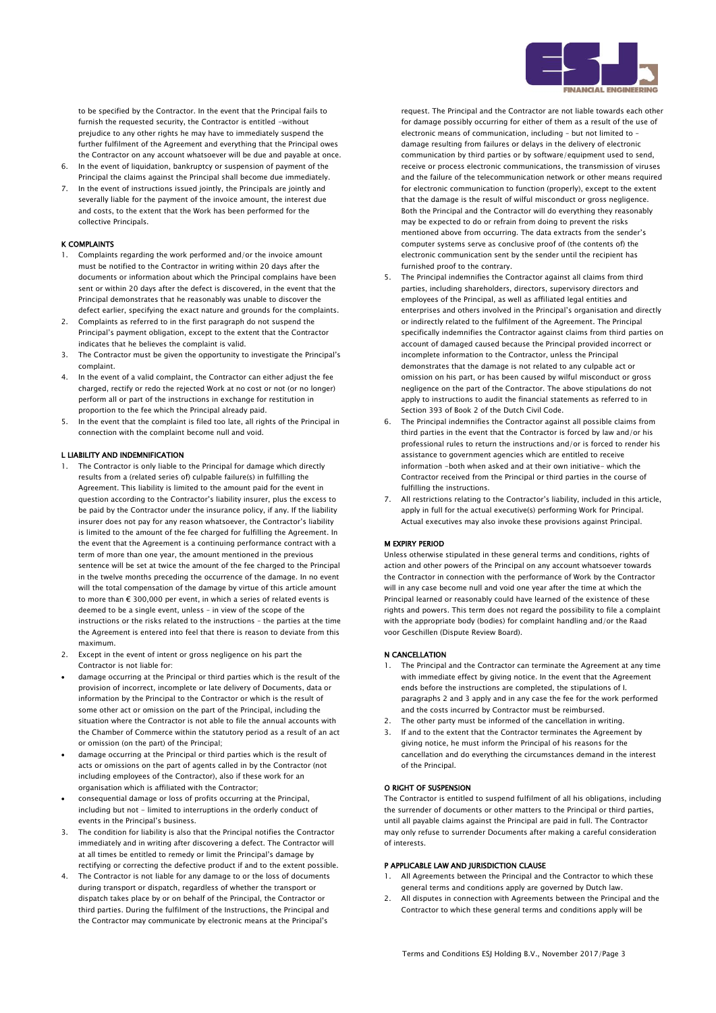

to be specified by the Contractor. In the event that the Principal fails to furnish the requested security, the Contractor is entitled -without prejudice to any other rights he may have to immediately suspend the further fulfilment of the Agreement and everything that the Principal owes the Contractor on any account whatsoever will be due and payable at once.

- 6. In the event of liquidation, bankruptcy or suspension of payment of the Principal the claims against the Principal shall become due immediately.
- 7. In the event of instructions issued jointly, the Principals are jointly and severally liable for the payment of the invoice amount, the interest due and costs, to the extent that the Work has been performed for the collective Principals.

## K COMPLAINTS

- 1. Complaints regarding the work performed and/or the invoice amount must be notified to the Contractor in writing within 20 days after the documents or information about which the Principal complains have been sent or within 20 days after the defect is discovered, in the event that the Principal demonstrates that he reasonably was unable to discover the defect earlier, specifying the exact nature and grounds for the complaints.
- 2. Complaints as referred to in the first paragraph do not suspend the Principal's payment obligation, except to the extent that the Contractor indicates that he believes the complaint is valid.
- 3. The Contractor must be given the opportunity to investigate the Principal's complaint.
- 4. In the event of a valid complaint, the Contractor can either adjust the fee charged, rectify or redo the rejected Work at no cost or not (or no longer) perform all or part of the instructions in exchange for restitution in proportion to the fee which the Principal already paid.
- 5. In the event that the complaint is filed too late, all rights of the Principal in connection with the complaint become null and void.

## L LIABILITY AND INDEMNIFICATION

- 1. The Contractor is only liable to the Principal for damage which directly results from a (related series of) culpable failure(s) in fulfilling the Agreement. This liability is limited to the amount paid for the event in question according to the Contractor's liability insurer, plus the excess to be paid by the Contractor under the insurance policy, if any. If the liability insurer does not pay for any reason whatsoever, the Contractor's liability is limited to the amount of the fee charged for fulfilling the Agreement. In the event that the Agreement is a continuing performance contract with a term of more than one year, the amount mentioned in the previous sentence will be set at twice the amount of the fee charged to the Principal in the twelve months preceding the occurrence of the damage. In no event will the total compensation of the damage by virtue of this article amount to more than € 300,000 per event, in which a series of related events is deemed to be a single event, unless – in view of the scope of the instructions or the risks related to the instructions – the parties at the time the Agreement is entered into feel that there is reason to deviate from this maximum.
- 2. Except in the event of intent or gross negligence on his part the Contractor is not liable for:
- damage occurring at the Principal or third parties which is the result of the provision of incorrect, incomplete or late delivery of Documents, data or information by the Principal to the Contractor or which is the result of some other act or omission on the part of the Principal, including the situation where the Contractor is not able to file the annual accounts with the Chamber of Commerce within the statutory period as a result of an act or omission (on the part) of the Principal;
- damage occurring at the Principal or third parties which is the result of acts or omissions on the part of agents called in by the Contractor (not including employees of the Contractor), also if these work for an organisation which is affiliated with the Contractor;
- consequential damage or loss of profits occurring at the Principal, including but not - limited to interruptions in the orderly conduct of events in the Principal's business.
- 3. The condition for liability is also that the Principal notifies the Contractor immediately and in writing after discovering a defect. The Contractor will at all times be entitled to remedy or limit the Principal's damage by rectifying or correcting the defective product if and to the extent possible.
- 4. The Contractor is not liable for any damage to or the loss of documents during transport or dispatch, regardless of whether the transport or dispatch takes place by or on behalf of the Principal, the Contractor or third parties. During the fulfilment of the Instructions, the Principal and the Contractor may communicate by electronic means at the Principal's

request. The Principal and the Contractor are not liable towards each other for damage possibly occurring for either of them as a result of the use of electronic means of communication, including – but not limited to – damage resulting from failures or delays in the delivery of electronic communication by third parties or by software/equipment used to send, receive or process electronic communications, the transmission of viruses and the failure of the telecommunication network or other means required for electronic communication to function (properly), except to the extent that the damage is the result of wilful misconduct or gross negligence. Both the Principal and the Contractor will do everything they reasonably may be expected to do or refrain from doing to prevent the risks mentioned above from occurring. The data extracts from the sender's computer systems serve as conclusive proof of (the contents of) the electronic communication sent by the sender until the recipient has furnished proof to the contrary.

- 5. The Principal indemnifies the Contractor against all claims from third parties, including shareholders, directors, supervisory directors and employees of the Principal, as well as affiliated legal entities and enterprises and others involved in the Principal's organisation and directly or indirectly related to the fulfilment of the Agreement. The Principal specifically indemnifies the Contractor against claims from third parties on account of damaged caused because the Principal provided incorrect or incomplete information to the Contractor, unless the Principal demonstrates that the damage is not related to any culpable act or omission on his part, or has been caused by wilful misconduct or gross negligence on the part of the Contractor. The above stipulations do not apply to instructions to audit the financial statements as referred to in Section 393 of Book 2 of the Dutch Civil Code.
- 6. The Principal indemnifies the Contractor against all possible claims from third parties in the event that the Contractor is forced by law and/or his professional rules to return the instructions and/or is forced to render his assistance to government agencies which are entitled to receive information -both when asked and at their own initiative- which the Contractor received from the Principal or third parties in the course of fulfilling the instructions.
- 7. All restrictions relating to the Contractor's liability, included in this article, apply in full for the actual executive(s) performing Work for Principal. Actual executives may also invoke these provisions against Principal.

#### M EXPIRY PERIOD

Unless otherwise stipulated in these general terms and conditions, rights of action and other powers of the Principal on any account whatsoever towards the Contractor in connection with the performance of Work by the Contractor will in any case become null and void one year after the time at which the Principal learned or reasonably could have learned of the existence of these rights and powers. This term does not regard the possibility to file a complaint with the appropriate body (bodies) for complaint handling and/or the Raad voor Geschillen (Dispute Review Board).

### N CANCELLATION

- 1. The Principal and the Contractor can terminate the Agreement at any time with immediate effect by giving notice. In the event that the Agreement ends before the instructions are completed, the stipulations of I. paragraphs 2 and 3 apply and in any case the fee for the work performed and the costs incurred by Contractor must be reimbursed.
- 2. The other party must be informed of the cancellation in writing.
- 3. If and to the extent that the Contractor terminates the Agreement by giving notice, he must inform the Principal of his reasons for the cancellation and do everything the circumstances demand in the interest of the Principal.

# O RIGHT OF SUSPENSION

The Contractor is entitled to suspend fulfilment of all his obligations, including the surrender of documents or other matters to the Principal or third parties, until all payable claims against the Principal are paid in full. The Contractor may only refuse to surrender Documents after making a careful consideration of interests.

# P APPLICABLE LAW AND JURISDICTION CLAUSE

- All Agreements between the Principal and the Contractor to which these general terms and conditions apply are governed by Dutch law.
- 2. All disputes in connection with Agreements between the Principal and the Contractor to which these general terms and conditions apply will be